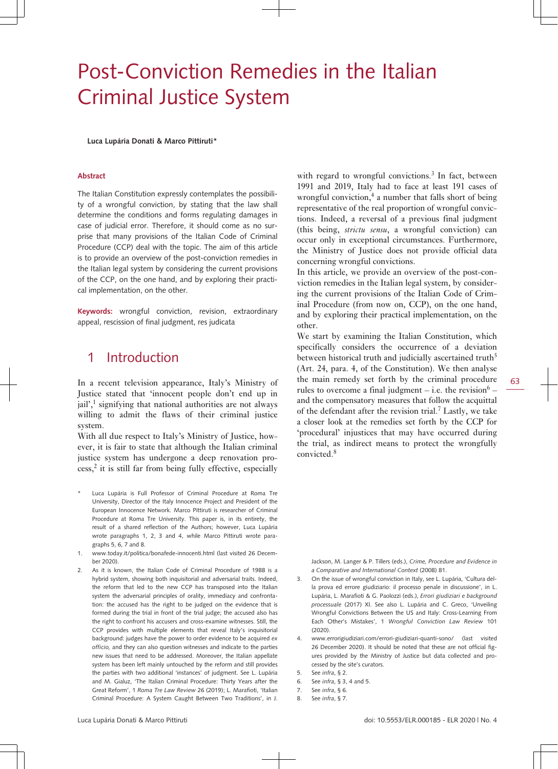# Post-Conviction Remedies in the Italian Criminal Justice System

**Luca Lupária Donati & Marco Pittiruti\***

#### **Abstract**

The Italian Constitution expressly contemplates the possibility of a wrongful conviction, by stating that the law shall determine the conditions and forms regulating damages in case of judicial error. Therefore, it should come as no surprise that many provisions of the Italian Code of Criminal Procedure (CCP) deal with the topic. The aim of this article is to provide an overview of the post-conviction remedies in the Italian legal system by considering the current provisions of the CCP, on the one hand, and by exploring their practical implementation, on the other.

**Keywords:** wrongful conviction, revision, extraordinary appeal, rescission of final judgment, res judicata

### 1 Introduction

In a recent television appearance, Italy's Ministry of Justice stated that 'innocent people don't end up in jail',<sup>1</sup> signifying that national authorities are not always willing to admit the flaws of their criminal justice system.

With all due respect to Italy's Ministry of Justice, however, it is fair to state that although the Italian criminal justice system has undergone a deep renovation pro $cess$ ,<sup>2</sup> it is still far from being fully effective, especially

- Luca Lupária is Full Professor of Criminal Procedure at Roma Tre University, Director of the Italy Innocence Project and President of the European Innocence Network. Marco Pittiruti is researcher of Criminal Procedure at Roma Tre University. This paper is, in its entirety, the result of a shared reflection of the Authors; however, Luca Lupária wrote paragraphs 1, 2, 3 and 4, while Marco Pittiruti wrote paragraphs 5, 6, 7 and 8.
- 1. [www.today.it/politica/bonafede-innocenti.html](http://www.today.it/politica/bonafede-innocenti.html) (last visited 26 December 2020).
- 2. As it is known, the Italian Code of Criminal Procedure of 1988 is a hybrid system, showing both inquisitorial and adversarial traits. Indeed, the reform that led to the new CCP has transposed into the Italian system the adversarial principles of orality, immediacy and confrontation: the accused has the right to be judged on the evidence that is formed during the trial in front of the trial judge; the accused also has the right to confront his accusers and cross-examine witnesses. Still, the CCP provides with multiple elements that reveal Italy's inquisitorial background: judges have the power to order evidence to be acquired *ex officio,* and they can also question witnesses and indicate to the parties new issues that need to be addressed. Moreover, the Italian appellate system has been left mainly untouched by the reform and still provides the parties with two additional 'instances' of judgment. See L. Lupária and M. Gialuz, 'The Italian Criminal Procedure: Thirty Years after the Great Reform', 1 *Roma Tre Law Review* 26 (2019); L. Marafioti, 'Italian Criminal Procedure: A System Caught Between Two Traditions', in J.

with regard to wrongful convictions. $3$  In fact, between 1991 and 2019, Italy had to face at least 191 cases of wrongful conviction,<sup>4</sup> a number that falls short of being representative of the real proportion of wrongful convictions. Indeed, a reversal of a previous final judgment (this being, *strictu sensu*, a wrongful conviction) can occur only in exceptional circumstances. Furthermore, the Ministry of Justice does not provide official data concerning wrongful convictions.

In this article, we provide an overview of the post-conviction remedies in the Italian legal system, by considering the current provisions of the Italian Code of Criminal Procedure (from now on, CCP), on the one hand, and by exploring their practical implementation, on the other.

We start by examining the Italian Constitution, which specifically considers the occurrence of a deviation between historical truth and judicially ascertained truth<sup>5</sup> (Art. 24, para. 4, of the Constitution). We then analyse the main remedy set forth by the criminal procedure rules to overcome a final judgment – i.e. the revision $6$ and the compensatory measures that follow the acquittal of the defendant after the revision trial.<sup>7</sup> Lastly, we take a closer look at the remedies set forth by the CCP for 'procedural' injustices that may have occurred during the trial, as indirect means to protect the wrongfully convicted.<sup>8</sup>

Jackson, M. Langer & P. Tillers (eds.), *Crime, Procedure and Evidence in a Comparative and International Context* (2008) 81.

- 3. On the issue of wrongful conviction in Italy, see L. Lupária, 'Cultura della prova ed errore giudiziario: il processo penale in discussione', in L. Lupária, L. Marafioti & G. Paolozzi (eds.), *Errori giudiziari e background processuale* (2017) XI. See also L. Lupária and C. Greco, 'Unveiling Wrongful Convictions Between the US and Italy: Cross-Learning From Each Other's Mistakes', 1 *Wrongful Conviction Law Review* 101 (2020).
- 4. [www.errorigiudiziari.com/errori-giudiziari-quanti-sono/](http://www.errorigiudiziari.com/errori-giudiziari-quanti-sono/) (last visited 26 December 2020). It should be noted that these are not official figures provided by the Ministry of Justice but data collected and processed by the site's curators.
- 5. See *infra*, § 2.
- 6. See *infra*, § 3, 4 and 5.
- 7. See *infra*, § 6.
- 8. See *infra*, § 7.

63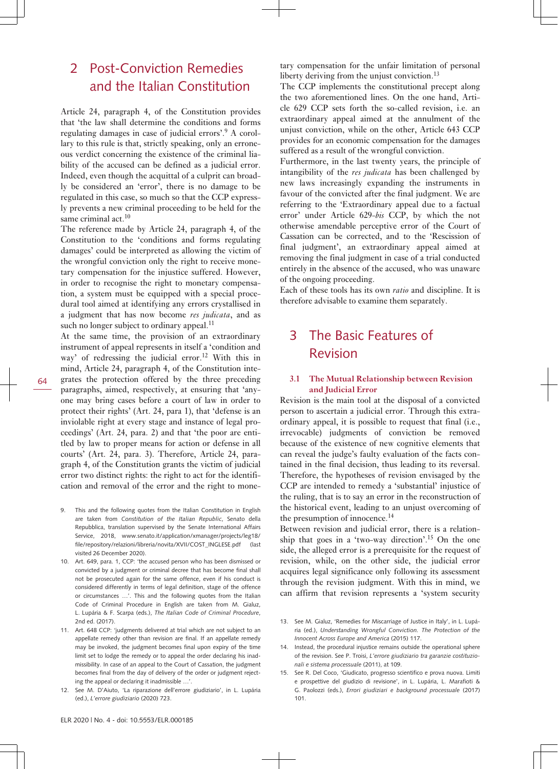### 2 Post-Conviction Remedies and the Italian Constitution

Article 24, paragraph 4, of the Constitution provides that 'the law shall determine the conditions and forms regulating damages in case of judicial errors'.<sup>9</sup> A corollary to this rule is that, strictly speaking, only an erroneous verdict concerning the existence of the criminal liability of the accused can be defined as a judicial error. Indeed, even though the acquittal of a culprit can broadly be considered an 'error', there is no damage to be regulated in this case, so much so that the CCP expressly prevents a new criminal proceeding to be held for the same criminal act. $10$ 

The reference made by Article 24, paragraph 4, of the Constitution to the 'conditions and forms regulating damages' could be interpreted as allowing the victim of the wrongful conviction only the right to receive monetary compensation for the injustice suffered. However, in order to recognise the right to monetary compensation, a system must be equipped with a special procedural tool aimed at identifying any errors crystallised in a judgment that has now become *res judicata*, and as such no longer subject to ordinary appeal.<sup>11</sup>

At the same time, the provision of an extraordinary instrument of appeal represents in itself a 'condition and way' of redressing the judicial error.<sup>12</sup> With this in mind, Article 24, paragraph 4, of the Constitution integrates the protection offered by the three preceding paragraphs, aimed, respectively, at ensuring that 'anyone may bring cases before a court of law in order to protect their rights' (Art. 24, para 1), that 'defense is an inviolable right at every stage and instance of legal proceedings' (Art. 24, para. 2) and that 'the poor are entitled by law to proper means for action or defense in all courts' (Art. 24, para. 3). Therefore, Article 24, paragraph 4, of the Constitution grants the victim of judicial error two distinct rights: the right to act for the identification and removal of the error and the right to mone-

- 9. This and the following quotes from the Italian Constitution in English are taken from *Constitution of the Italian Republic*, Senato della Repubblica, translation supervised by the Senate International Affairs Service, 2018, [www.senato.it/application/xmanager/projects/leg18/](http://www.senato.it/application/xmanager/projects/leg18/file/repository/relazioni/libreria/novita/XVII/COST_INGLESE.pdf) [file/repository/relazioni/libreria/novita/XVII/COST\\_INGLESE.pdf](http://www.senato.it/application/xmanager/projects/leg18/file/repository/relazioni/libreria/novita/XVII/COST_INGLESE.pdf) (last visited 26 December 2020).
- 10. Art. 649, para. 1, CCP: 'the accused person who has been dismissed or convicted by a judgment or criminal decree that has become final shall not be prosecuted again for the same offence, even if his conduct is considered differently in terms of legal definition, stage of the offence or circumstances …'. This and the following quotes from the Italian Code of Criminal Procedure in English are taken from M. Gialuz, L. Lupária & F. Scarpa (eds.), *The Italian Code of Criminal Procedure*, 2nd ed. (2017).
- 11. Art. 648 CCP: 'judgments delivered at trial which are not subject to an appellate remedy other than revision are final. If an appellate remedy may be invoked, the judgment becomes final upon expiry of the time limit set to lodge the remedy or to appeal the order declaring his inadmissibility. In case of an appeal to the Court of Cassation, the judgment becomes final from the day of delivery of the order or judgment rejecting the appeal or declaring it inadmissible …'.
- 12. See M. D'Aiuto, 'La riparazione dell'errore giudiziario', in L. Lupária (ed.), *L'errore giudiziario* (2020) 723.

tary compensation for the unfair limitation of personal liberty deriving from the unjust conviction.<sup>13</sup>

The CCP implements the constitutional precept along the two aforementioned lines. On the one hand, Article 629 CCP sets forth the so-called revision, i.e. an extraordinary appeal aimed at the annulment of the unjust conviction, while on the other, Article 643 CCP provides for an economic compensation for the damages suffered as a result of the wrongful conviction.

Furthermore, in the last twenty years, the principle of intangibility of the *res judicata* has been challenged by new laws increasingly expanding the instruments in favour of the convicted after the final judgment. We are referring to the 'Extraordinary appeal due to a factual error' under Article 629-*bis* CCP, by which the not otherwise amendable perceptive error of the Court of Cassation can be corrected, and to the 'Rescission of final judgment', an extraordinary appeal aimed at removing the final judgment in case of a trial conducted entirely in the absence of the accused, who was unaware of the ongoing proceeding.

Each of these tools has its own *ratio* and discipline. It is therefore advisable to examine them separately.

### 3 The Basic Features of Revision

### **3.1 The Mutual Relationship between Revision and Judicial Error**

Revision is the main tool at the disposal of a convicted person to ascertain a judicial error. Through this extraordinary appeal, it is possible to request that final (i.e., irrevocable) judgments of conviction be removed because of the existence of new cognitive elements that can reveal the judge's faulty evaluation of the facts contained in the final decision, thus leading to its reversal. Therefore, the hypotheses of revision envisaged by the CCP are intended to remedy a 'substantial' injustice of the ruling, that is to say an error in the reconstruction of the historical event, leading to an unjust overcoming of the presumption of innocence.<sup>14</sup>

Between revision and judicial error, there is a relationship that goes in a 'two-way direction'.15 On the one side, the alleged error is a prerequisite for the request of revision, while, on the other side, the judicial error acquires legal significance only following its assessment through the revision judgment. With this in mind, we can affirm that revision represents a 'system security

<sup>13.</sup> See M. Gialuz, 'Remedies for Miscarriage of Justice in Italy', in L. Lupária (ed.), *Understanding Wrongful Conviction. The Protection of the Innocent Across Europe and America* (2015) 117.

<sup>14.</sup> Instead, the procedural injustice remains outside the operational sphere of the revision. See P. Troisi, *L'errore giudiziario tra garanzie costituzionali e sistema processuale* (2011), at 109.

<sup>15.</sup> See R. Del Coco, 'Giudicato, progresso scientifico e prova nuova. Limiti e prospettive del giudizio di revisione', in L. Lupária, L. Marafioti & G. Paolozzi (eds.), *Errori giudiziari e background processuale* (2017) 101.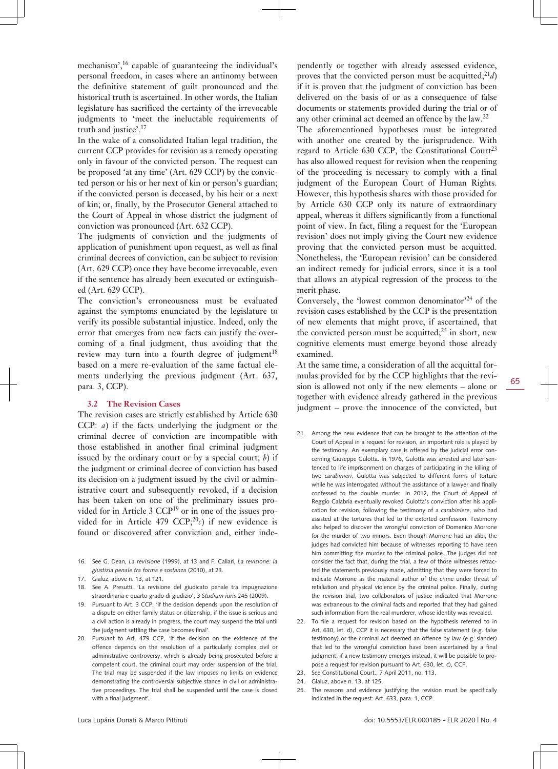mechanism',<sup>16</sup> capable of guaranteeing the individual's personal freedom, in cases where an antinomy between the definitive statement of guilt pronounced and the historical truth is ascertained. In other words, the Italian legislature has sacrificed the certainty of the irrevocable judgments to 'meet the ineluctable requirements of truth and justice'.<sup>17</sup>

In the wake of a consolidated Italian legal tradition, the current CCP provides for revision as a remedy operating only in favour of the convicted person. The request can be proposed 'at any time' (Art. 629 CCP) by the convicted person or his or her next of kin or person's guardian; if the convicted person is deceased, by his heir or a next of kin; or, finally, by the Prosecutor General attached to the Court of Appeal in whose district the judgment of conviction was pronounced (Art. 632 CCP).

The judgments of conviction and the judgments of application of punishment upon request, as well as final criminal decrees of conviction, can be subject to revision (Art. 629 CCP) once they have become irrevocable, even if the sentence has already been executed or extinguished (Art. 629 CCP).

The conviction's erroneousness must be evaluated against the symptoms enunciated by the legislature to verify its possible substantial injustice. Indeed, only the error that emerges from new facts can justify the overcoming of a final judgment, thus avoiding that the review may turn into a fourth degree of judgment $18$ based on a mere re-evaluation of the same factual elements underlying the previous judgment (Art. 637, para. 3, CCP).

#### **3.2 The Revision Cases**

The revision cases are strictly established by Article 630 CCP: *a*) if the facts underlying the judgment or the criminal decree of conviction are incompatible with those established in another final criminal judgment issued by the ordinary court or by a special court; *b*) if the judgment or criminal decree of conviction has based its decision on a judgment issued by the civil or administrative court and subsequently revoked, if a decision has been taken on one of the preliminary issues provided for in Article 3 CCP19 or in one of the issues provided for in Article 479 CCP; $^{20}$ c) if new evidence is found or discovered after conviction and, either inde-

- 16. See G. Dean, *La revisione* (1999), at 13 and F. Callari, *La revisione: la giustizia penale tra forma e sostanza* (2010), at 23.
- 17. Gialuz, above n. 13, at 121.
- 18. See A. Presutti, 'La revisione del giudicato penale tra impugnazione straordinaria e quarto grado di giudizio', 3 *Studium iuris* 245 (2009).
- 19. Pursuant to Art. 3 CCP, 'if the decision depends upon the resolution of a dispute on either family status or citizenship, if the issue is serious and a civil action is already in progress, the court may suspend the trial until the judgment settling the case becomes final'.
- 20. Pursuant to Art. 479 CCP, 'if the decision on the existence of the offence depends on the resolution of a particularly complex civil or administrative controversy, which is already being prosecuted before a competent court, the criminal court may order suspension of the trial. The trial may be suspended if the law imposes no limits on evidence demonstrating the controversial subjective stance in civil or administrative proceedings. The trial shall be suspended until the case is closed with a final judgment'.

pendently or together with already assessed evidence, proves that the convicted person must be acquitted;<sup>21</sup>*d*) if it is proven that the judgment of conviction has been delivered on the basis of or as a consequence of false documents or statements provided during the trial or of any other criminal act deemed an offence by the law.<sup>22</sup>

The aforementioned hypotheses must be integrated with another one created by the jurisprudence. With regard to Article 630 CCP, the Constitutional Court<sup>23</sup> has also allowed request for revision when the reopening of the proceeding is necessary to comply with a final judgment of the European Court of Human Rights. However, this hypothesis shares with those provided for by Article 630 CCP only its nature of extraordinary appeal, whereas it differs significantly from a functional point of view. In fact, filing a request for the 'European revision' does not imply giving the Court new evidence proving that the convicted person must be acquitted. Nonetheless, the 'European revision' can be considered an indirect remedy for judicial errors, since it is a tool that allows an atypical regression of the process to the merit phase.

Conversely, the 'lowest common denominator'<sup>24</sup> of the revision cases established by the CCP is the presentation of new elements that might prove, if ascertained, that the convicted person must be acquitted; $^{25}$  in short, new cognitive elements must emerge beyond those already examined.

At the same time, a consideration of all the acquittal formulas provided for by the CCP highlights that the revision is allowed not only if the new elements – alone or together with evidence already gathered in the previous judgment – prove the innocence of the convicted, but

- 21. Among the new evidence that can be brought to the attention of the Court of Appeal in a request for revision, an important role is played by the testimony. An exemplary case is offered by the judicial error concerning Giuseppe Gulotta. In 1976, Gulotta was arrested and later sentenced to life imprisonment on charges of participating in the killing of two *carabinieri*. Gulotta was subjected to different forms of torture while he was interrogated without the assistance of a lawyer and finally confessed to the double murder. In 2012, the Court of Appeal of Reggio Calabria eventually revoked Gulotta's conviction after his application for revision, following the testimony of a *carabiniere*, who had assisted at the tortures that led to the extorted confession. Testimony also helped to discover the wrongful conviction of Domenico Morrone for the murder of two minors. Even though Morrone had an alibi, the judges had convicted him because of witnesses reporting to have seen him committing the murder to the criminal police. The judges did not consider the fact that, during the trial, a few of those witnesses retracted the statements previously made, admitting that they were forced to indicate Morrone as the material author of the crime under threat of retaliation and physical violence by the criminal police. Finally, during the revision trial, two collaborators of justice indicated that Morrone was extraneous to the criminal facts and reported that they had gained such information from the real murderer, whose identity was revealed.
- 22. To file a request for revision based on the hypothesis referred to in Art. 630, let. d), CCP it is necessary that the false statement (e.g. false testimony) or the criminal act deemed an offence by law (e.g. slander) that led to the wrongful conviction have been ascertained by a final judgment; if a new testimony emerges instead, it will be possible to propose a request for revision pursuant to Art. 630, let. c), CCP.
- 23. See Constitutional Court., 7 April 2011, no. 113.
- 24. Gialuz, above n. 13, at 125.
- 25. The reasons and evidence justifying the revision must be specifically indicated in the request: Art. 633, para. 1, CCP.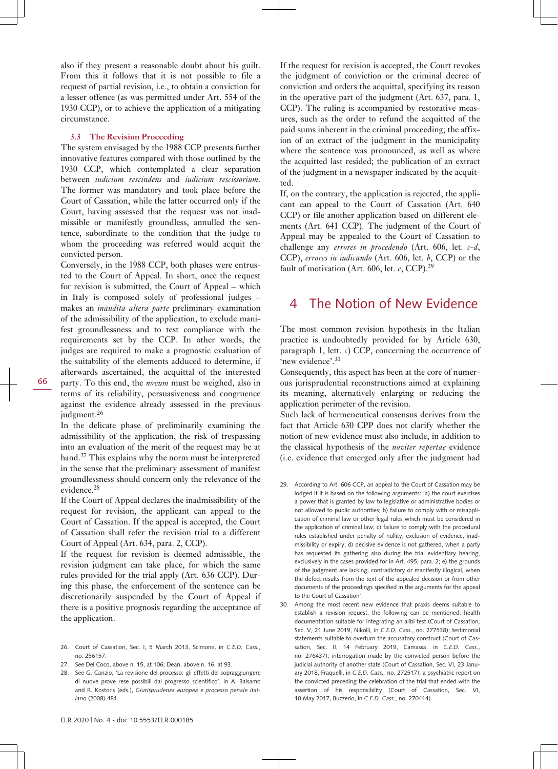also if they present a reasonable doubt about his guilt. From this it follows that it is not possible to file a request of partial revision, i.e., to obtain a conviction for a lesser offence (as was permitted under Art. 554 of the 1930 CCP), or to achieve the application of a mitigating circumstance.

#### **3.3 The Revision Proceeding**

The system envisaged by the 1988 CCP presents further innovative features compared with those outlined by the 1930 CCP, which contemplated a clear separation between *iudicium rescindens* and *iudicium rescissorium*. The former was mandatory and took place before the Court of Cassation, while the latter occurred only if the Court, having assessed that the request was not inadmissible or manifestly groundless, annulled the sentence, subordinate to the condition that the judge to whom the proceeding was referred would acquit the convicted person.

Conversely, in the 1988 CCP, both phases were entrusted to the Court of Appeal. In short, once the request for revision is submitted, the Court of Appeal – which in Italy is composed solely of professional judges – makes an *inaudita altera parte* preliminary examination of the admissibility of the application, to exclude manifest groundlessness and to test compliance with the requirements set by the CCP. In other words, the judges are required to make a prognostic evaluation of the suitability of the elements adduced to determine, if afterwards ascertained, the acquittal of the interested party. To this end, the *novum* must be weighed, also in terms of its reliability, persuasiveness and congruence against the evidence already assessed in the previous judgment.<sup>26</sup>

In the delicate phase of preliminarily examining the admissibility of the application, the risk of trespassing into an evaluation of the merit of the request may be at hand.<sup>27</sup> This explains why the norm must be interpreted in the sense that the preliminary assessment of manifest groundlessness should concern only the relevance of the evidence.<sup>28</sup>

If the Court of Appeal declares the inadmissibility of the request for revision, the applicant can appeal to the Court of Cassation. If the appeal is accepted, the Court of Cassation shall refer the revision trial to a different Court of Appeal (Art. 634, para. 2, CCP).

If the request for revision is deemed admissible, the revision judgment can take place, for which the same rules provided for the trial apply (Art. 636 CCP). During this phase, the enforcement of the sentence can be discretionarily suspended by the Court of Appeal if there is a positive prognosis regarding the acceptance of the application.

- 26. Court of Cassation, Sec. I, 5 March 2013, Scimone, in *C.E.D. Cass.*, no. 256157.
- 27. See Del Coco, above n. 15, at 106; Dean, above n. 16, at 93.
- 28. See G. Canzio, 'La revisione del processo: gli effetti del sopraggiungere di nuove prove rese possibili dal progresso scientifico', in A. Balsamo and R. Kostoris (eds.), *Giurisprudenza europea e processo penale italiano* (2008) 481.

If the request for revision is accepted, the Court revokes the judgment of conviction or the criminal decree of conviction and orders the acquittal, specifying its reason in the operative part of the judgment (Art. 637, para. 1, CCP). The ruling is accompanied by restorative measures, such as the order to refund the acquitted of the paid sums inherent in the criminal proceeding; the affixion of an extract of the judgment in the municipality where the sentence was pronounced, as well as where the acquitted last resided; the publication of an extract of the judgment in a newspaper indicated by the acquitted.

If, on the contrary, the application is rejected, the applicant can appeal to the Court of Cassation (Art. 640 CCP) or file another application based on different elements (Art. 641 CCP). The judgment of the Court of Appeal may be appealed to the Court of Cassation to challenge any *errores in procedendo* (Art. 606, let. *c-d*, CCP), *errores in iudicando* (Art. 606, let. *b*, CCP) or the fault of motivation (Art. 606, let. *e*, CCP).<sup>29</sup>

### 4 The Notion of New Evidence

The most common revision hypothesis in the Italian practice is undoubtedly provided for by Article 630, paragraph 1, lett.  $c$ ) CCP, concerning the occurrence of 'new evidence'.<sup>30</sup>

Consequently, this aspect has been at the core of numerous jurisprudential reconstructions aimed at explaining its meaning, alternatively enlarging or reducing the application perimeter of the revision.

Such lack of hermeneutical consensus derives from the fact that Article 630 CPP does not clarify whether the notion of new evidence must also include, in addition to the classical hypothesis of the *noviter repertae* evidence (i.e. evidence that emerged only after the judgment had

- 29. According to Art. 606 CCP, an appeal to the Court of Cassation may be lodged if it is based on the following arguments: 'a) the court exercises a power that is granted by law to legislative or administrative bodies or not allowed to public authorities; b) failure to comply with or misapplication of criminal law or other legal rules which must be considered in the application of criminal law; c) failure to comply with the procedural rules established under penalty of nullity, exclusion of evidence, inadmissibility or expiry; d) decisive evidence is not gathered, when a party has requested its gathering also during the trial evidentiary hearing, exclusively in the cases provided for in Art. 495, para. 2; e) the grounds of the judgment are lacking, contradictory or manifestly illogical, when the defect results from the text of the appealed decision or from other documents of the proceedings specified in the arguments for the appeal to the Court of Cassation'.
- 30. Among the most recent new evidence that praxis deems suitable to establish a revision request, the following can be mentioned: health documentation suitable for integrating an alibi test (Court of Cassation, Sec. V, 21 June 2019, Nikolli, in *C.E.D. Cass.*, no. 277538); testimonial statements suitable to overturn the accusatory construct (Court of Cassation, Sec. II, 14 February 2019, Camassa, in *C.E.D. Cass.*, no. 276437); interrogation made by the convicted person before the judicial authority of another state (Court of Cassation, Sec. VI, 23 January 2018, Fraquelli, in *C.E.D. Cass.,* no. 272517); a psychiatric report on the convicted preceding the celebration of the trial that ended with the assertion of his responsibility (Court of Cassation, Sec. VI, 10 May 2017, Buzzerio, in *C.E.D. Cass.*, no. 270414).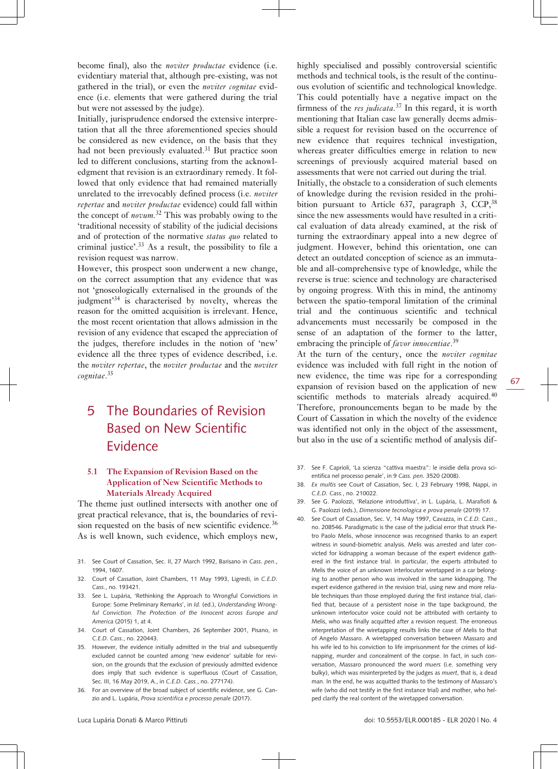become final), also the *noviter productae* evidence (i.e. evidentiary material that, although pre-existing, was not gathered in the trial), or even the *noviter cognitae* evidence (i.e. elements that were gathered during the trial but were not assessed by the judge).

Initially, jurisprudence endorsed the extensive interpretation that all the three aforementioned species should be considered as new evidence, on the basis that they had not been previously evaluated.<sup>31</sup> But practice soon led to different conclusions, starting from the acknowledgment that revision is an extraordinary remedy. It followed that only evidence that had remained materially unrelated to the irrevocably defined process (i.e. *noviter repertae* and *noviter productae* evidence) could fall within the concept of *novum.*<sup>32</sup> This was probably owing to the 'traditional necessity of stability of the judicial decisions and of protection of the normative *status quo* related to criminal justice'.<sup>33</sup> As a result, the possibility to file a revision request was narrow.

However, this prospect soon underwent a new change, on the correct assumption that any evidence that was not 'gnoseologically externalised in the grounds of the judgment<sup>34</sup> is characterised by novelty, whereas the reason for the omitted acquisition is irrelevant. Hence, the most recent orientation that allows admission in the revision of any evidence that escaped the appreciation of the judges, therefore includes in the notion of 'new' evidence all the three types of evidence described, i.e. the *noviter repertae*, the *noviter productae* and the *noviter cognitae*. 35

# 5 The Boundaries of Revision Based on New Scientific Evidence

### **5.1 The Expansion of Revision Based on the Application of New Scientific Methods to Materials Already Acquired**

The theme just outlined intersects with another one of great practical relevance, that is, the boundaries of revision requested on the basis of new scientific evidence.<sup>36</sup> As is well known, such evidence, which employs new,

- 31. See Court of Cassation, Sec. II, 27 March 1992, Barisano in *Cass. pen*., 1994, 1607.
- 32. Court of Cassation, Joint Chambers, 11 May 1993, Ligresti, in *C.E.D. Cass.*, no. 193421.
- 33. See L. Lupária, 'Rethinking the Approach to Wrongful Convictions in Europe: Some Preliminary Remarks', in *Id.* (ed.), *Understanding Wrongful Conviction. The Protection of the Innocent across Europe and America* (2015) 1, at 4.
- 34. Court of Cassation, Joint Chambers, 26 September 2001, Pisano, in *C.E.D. Cass.*, no. 220443.
- 35. However, the evidence initially admitted in the trial and subsequently excluded cannot be counted among 'new evidence' suitable for revision, on the grounds that the exclusion of previously admitted evidence does imply that such evidence is superfluous (Court of Cassation, Sec. III, 16 May 2019, A., in *C.E.D. Cass.*, no. 277174).
- 36. For an overview of the broad subject of scientific evidence, see G. Canzio and L. Lupária, *Prova scientifica e processo penale* (2017).

highly specialised and possibly controversial scientific methods and technical tools, is the result of the continuous evolution of scientific and technological knowledge. This could potentially have a negative impact on the firmness of the *res judicata.*<sup>37</sup> In this regard, it is worth mentioning that Italian case law generally deems admissible a request for revision based on the occurrence of new evidence that requires technical investigation, whereas greater difficulties emerge in relation to new screenings of previously acquired material based on assessments that were not carried out during the trial.

Initially, the obstacle to a consideration of such elements of knowledge during the revision resided in the prohibition pursuant to Article  $637$ , paragraph 3, CCP,  $38$ since the new assessments would have resulted in a critical evaluation of data already examined, at the risk of turning the extraordinary appeal into a new degree of judgment. However, behind this orientation, one can detect an outdated conception of science as an immutable and all-comprehensive type of knowledge, while the reverse is true: science and technology are characterised by ongoing progress. With this in mind, the antinomy between the spatio-temporal limitation of the criminal trial and the continuous scientific and technical advancements must necessarily be composed in the sense of an adaptation of the former to the latter, embracing the principle of *favor innocentiae*. 39

At the turn of the century, once the *noviter cognitae* evidence was included with full right in the notion of new evidence, the time was ripe for a corresponding expansion of revision based on the application of new scientific methods to materials already acquired.<sup>40</sup> Therefore, pronouncements began to be made by the Court of Cassation in which the novelty of the evidence was identified not only in the object of the assessment, but also in the use of a scientific method of analysis dif-

- 37. See F. Caprioli, 'La scienza "cattiva maestra": le insidie della prova scientifica nel processo penale', in 9 *Cass. pen.* 3520 (2008).
- 38. *Ex multis* see Court of Cassation, Sec. I, 23 February 1998, Nappi, in *C.E.D. Cass.*, no. 210022.
- 39. See G. Paolozzi, 'Relazione introduttiva', in L. Lupária, L. Marafioti & G. Paolozzi (eds.), *Dimensione tecnologica e prova penale* (2019) 17.
- 40. See Court of Cassation, Sec. V, 14 May 1997, Cavazza, in *C.E.D. Cass*., no. 208546. Paradigmatic is the case of the judicial error that struck Pietro Paolo Melis, whose innocence was recognised thanks to an expert witness in sound-biometric analysis. Melis was arrested and later convicted for kidnapping a woman because of the expert evidence gathered in the first instance trial. In particular, the experts attributed to Melis the voice of an unknown interlocutor wiretapped in a car belonging to another person who was involved in the same kidnapping. The expert evidence gathered in the revision trial, using new and more reliable techniques than those employed during the first instance trial, clarified that, because of a persistent noise in the tape background, the unknown interlocutor voice could not be attributed with certainty to Melis, who was finally acquitted after a revision request. The erroneous interpretation of the wiretapping results links the case of Melis to that of Angelo Massaro. A wiretapped conversation between Massaro and his wife led to his conviction to life imprisonment for the crimes of kidnapping, murder and concealment of the corpse. In fact, in such conversation, Massaro pronounced the word *muers* (i.e. something very bulky), which was misinterpreted by the judges as *muert*, that is, a dead man. In the end, he was acquitted thanks to the testimony of Massaro's wife (who did not testify in the first instance trial) and mother, who helped clarify the real content of the wiretapped conversation.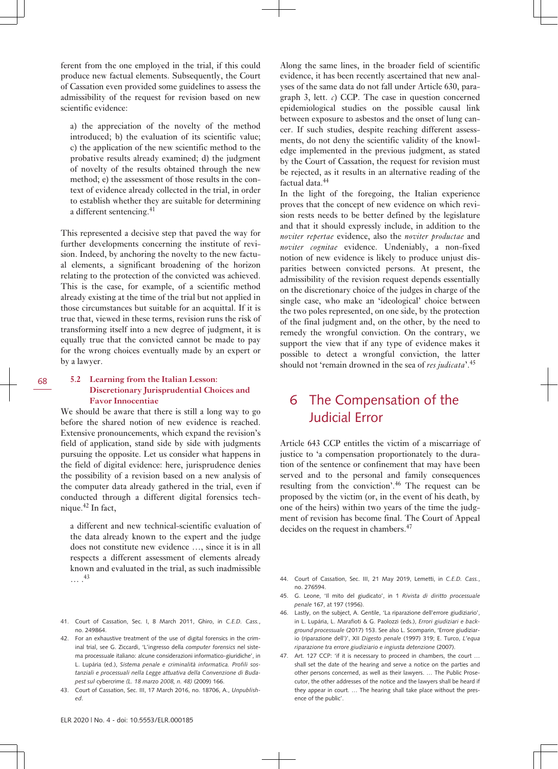ferent from the one employed in the trial, if this could produce new factual elements. Subsequently, the Court of Cassation even provided some guidelines to assess the admissibility of the request for revision based on new scientific evidence:

a) the appreciation of the novelty of the method introduced; b) the evaluation of its scientific value; c) the application of the new scientific method to the probative results already examined; d) the judgment of novelty of the results obtained through the new method; e) the assessment of those results in the context of evidence already collected in the trial, in order to establish whether they are suitable for determining a different sentencing.<sup>41</sup>

This represented a decisive step that paved the way for further developments concerning the institute of revision. Indeed, by anchoring the novelty to the new factual elements, a significant broadening of the horizon relating to the protection of the convicted was achieved. This is the case, for example, of a scientific method already existing at the time of the trial but not applied in those circumstances but suitable for an acquittal. If it is true that, viewed in these terms, revision runs the risk of transforming itself into a new degree of judgment, it is equally true that the convicted cannot be made to pay for the wrong choices eventually made by an expert or by a lawyer.

### **5.2 Learning from the Italian Lesson: Discretionary Jurisprudential Choices and Favor Innocentiae**

We should be aware that there is still a long way to go before the shared notion of new evidence is reached. Extensive pronouncements, which expand the revision's field of application, stand side by side with judgments pursuing the opposite. Let us consider what happens in the field of digital evidence: here, jurisprudence denies the possibility of a revision based on a new analysis of the computer data already gathered in the trial, even if conducted through a different digital forensics technique.42 In fact,

a different and new technical-scientific evaluation of the data already known to the expert and the judge does not constitute new evidence …, since it is in all respects a different assessment of elements already known and evaluated in the trial, as such inadmissible … . 43

- 41. Court of Cassation, Sec. I, 8 March 2011, Ghiro, in *C.E.D. Cass.*, no. 249864.
- 42. For an exhaustive treatment of the use of digital forensics in the criminal trial, see G. Ziccardi, 'L'ingresso della *computer forensics* nel sistema processuale italiano: alcune considerazioni informatico-giuridiche', in L. Lupária (ed.), *Sistema penale e criminalità informatica. Profili sostanziali e processuali nella Legge attuativa della Convenzione di Budapest sul* cybercrime *(L. 18 marzo 2008, n. 48)* (2009) 166.
- 43. Court of Cassation, Sec. III, 17 March 2016, no. 18706, A., *Unpublished*.

Along the same lines, in the broader field of scientific evidence, it has been recently ascertained that new analyses of the same data do not fall under Article 630, paragraph 3, lett.  $c$ ) CCP. The case in question concerned epidemiological studies on the possible causal link between exposure to asbestos and the onset of lung cancer. If such studies, despite reaching different assessments, do not deny the scientific validity of the knowledge implemented in the previous judgment, as stated by the Court of Cassation, the request for revision must be rejected, as it results in an alternative reading of the factual data.<sup>44</sup>

In the light of the foregoing, the Italian experience proves that the concept of new evidence on which revision rests needs to be better defined by the legislature and that it should expressly include, in addition to the *noviter repertae* evidence, also the *noviter productae* and *noviter cognitae* evidence. Undeniably, a non-fixed notion of new evidence is likely to produce unjust disparities between convicted persons. At present, the admissibility of the revision request depends essentially on the discretionary choice of the judges in charge of the single case, who make an 'ideological' choice between the two poles represented, on one side, by the protection of the final judgment and, on the other, by the need to remedy the wrongful conviction. On the contrary, we support the view that if any type of evidence makes it possible to detect a wrongful conviction, the latter should not 'remain drowned in the sea of *res judicata*'.<sup>45</sup>

# 6 The Compensation of the Judicial Error

Article 643 CCP entitles the victim of a miscarriage of justice to 'a compensation proportionately to the duration of the sentence or confinement that may have been served and to the personal and family consequences resulting from the conviction'.46 The request can be proposed by the victim (or, in the event of his death, by one of the heirs) within two years of the time the judgment of revision has become final. The Court of Appeal decides on the request in chambers.<sup>47</sup>

- 44. Court of Cassation, Sec. III, 21 May 2019, Lemetti, in *C.E.D. Cass.*, no. 276594.
- 45. G. Leone, 'Il mito del giudicato', in 1 *Rivista di diritto processuale penale* 167, at 197 (1956).
- 46. Lastly, on the subject, A. Gentile, 'La riparazione dell'errore giudiziario', in L. Lupária, L. Marafioti & G. Paolozzi (eds.), *Errori giudiziari e background processuale* (2017) 153. See also L. Scomparin, 'Errore giudiziario (riparazione dell')', XII *Digesto penale* (1997) 319; E. Turco, *L'equa riparazione tra errore giudiziario e ingiusta detenzione* (2007).
- 47. Art. 127 CCP: 'if it is necessary to proceed in chambers, the court … shall set the date of the hearing and serve a notice on the parties and other persons concerned, as well as their lawyers. … The Public Prosecutor, the other addresses of the notice and the lawyers shall be heard if they appear in court. … The hearing shall take place without the presence of the public'.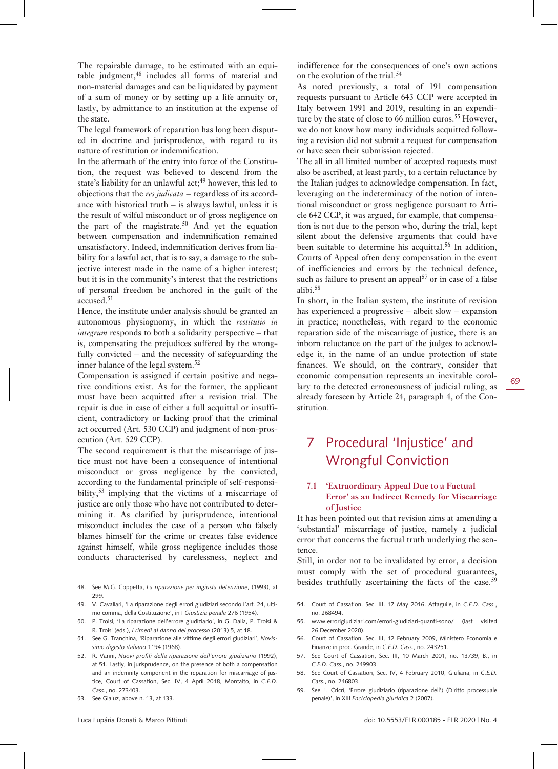The repairable damage, to be estimated with an equitable judgment,<sup>48</sup> includes all forms of material and non-material damages and can be liquidated by payment of a sum of money or by setting up a life annuity or, lastly, by admittance to an institution at the expense of the state.

The legal framework of reparation has long been disputed in doctrine and jurisprudence, with regard to its nature of restitution or indemnification.

In the aftermath of the entry into force of the Constitution, the request was believed to descend from the state's liability for an unlawful act;<sup>49</sup> however, this led to objections that the *res judicata* – regardless of its accordance with historical truth  $-$  is always lawful, unless it is the result of wilful misconduct or of gross negligence on the part of the magistrate.<sup>50</sup> And yet the equation between compensation and indemnification remained unsatisfactory. Indeed, indemnification derives from liability for a lawful act, that is to say, a damage to the subjective interest made in the name of a higher interest; but it is in the community's interest that the restrictions of personal freedom be anchored in the guilt of the accused.<sup>51</sup>

Hence, the institute under analysis should be granted an autonomous physiognomy, in which the *restitutio in integrum* responds to both a solidarity perspective – that is, compensating the prejudices suffered by the wrongfully convicted – and the necessity of safeguarding the inner balance of the legal system. $52$ 

Compensation is assigned if certain positive and negative conditions exist. As for the former, the applicant must have been acquitted after a revision trial. The repair is due in case of either a full acquittal or insufficient, contradictory or lacking proof that the criminal act occurred (Art. 530 CCP) and judgment of non-prosecution (Art. 529 CCP).

The second requirement is that the miscarriage of justice must not have been a consequence of intentional misconduct or gross negligence by the convicted, according to the fundamental principle of self-responsibility,<sup>53</sup> implying that the victims of a miscarriage of justice are only those who have not contributed to determining it. As clarified by jurisprudence, intentional misconduct includes the case of a person who falsely blames himself for the crime or creates false evidence against himself, while gross negligence includes those conducts characterised by carelessness, neglect and

- 48. See M.G. Coppetta, *La riparazione per ingiusta detenzione*, (1993), at 299.
- 49. V. Cavallari, 'La riparazione degli errori giudiziari secondo l'art. 24, ultimo comma, della Costituzione', in I *Giustizia penale* 276 (1954).
- 50. P. Troisi, 'La riparazione dell'errore giudiziario', in G. Dalia, P. Troisi & R. Troisi (eds.), *I rimedi al danno del processo* (2013) 5, at 18.
- 51. See G. Tranchina, 'Riparazione alle vittime degli errori giudiziari', *Novissimo digesto italiano* 1194 (1968).
- 52. R. Vanni, *Nuovi profili della riparazione dell'errore giudiziario* (1992), at 51. Lastly, in jurisprudence, on the presence of both a compensation and an indemnity component in the reparation for miscarriage of justice, Court of Cassation, Sec. IV, 4 April 2018, Montalto, in *C.E.D. Cass.*, no. 273403.
- 53. See Gialuz, above n. 13, at 133.

indifference for the consequences of one's own actions on the evolution of the trial.<sup>54</sup>

As noted previously, a total of 191 compensation requests pursuant to Article 643 CCP were accepted in Italy between 1991 and 2019, resulting in an expenditure by the state of close to 66 million euros.<sup>55</sup> However, we do not know how many individuals acquitted following a revision did not submit a request for compensation or have seen their submission rejected.

The all in all limited number of accepted requests must also be ascribed, at least partly, to a certain reluctance by the Italian judges to acknowledge compensation. In fact, leveraging on the indeterminacy of the notion of intentional misconduct or gross negligence pursuant to Article 642 CCP, it was argued, for example, that compensation is not due to the person who, during the trial, kept silent about the defensive arguments that could have been suitable to determine his acquittal.<sup>56</sup> In addition, Courts of Appeal often deny compensation in the event of inefficiencies and errors by the technical defence, such as failure to present an appeal<sup>57</sup> or in case of a false alibi.<sup>58</sup>

In short, in the Italian system, the institute of revision has experienced a progressive – albeit slow – expansion in practice; nonetheless, with regard to the economic reparation side of the miscarriage of justice, there is an inborn reluctance on the part of the judges to acknowledge it, in the name of an undue protection of state finances. We should, on the contrary, consider that economic compensation represents an inevitable corollary to the detected erroneousness of judicial ruling, as already foreseen by Article 24, paragraph 4, of the Constitution.

# 7 Procedural 'Injustice' and Wrongful Conviction

### **7.1 'Extraordinary Appeal Due to a Factual Error' as an Indirect Remedy for Miscarriage of Justice**

It has been pointed out that revision aims at amending a 'substantial' miscarriage of justice, namely a judicial error that concerns the factual truth underlying the sentence.

Still, in order not to be invalidated by error, a decision must comply with the set of procedural guarantees, besides truthfully ascertaining the facts of the case.<sup>59</sup>

- 54. Court of Cassation, Sec. III, 17 May 2016, Attaguile, in *C.E.D. Cass.*, no. 268494.
- 55. [www.errorigiudiziari.com/errori-giudiziari-quanti-sono/](http://www.errorigiudiziari.com/errori-giudiziari-quanti-sono/) (last visited 26 December 2020).
- 56. Court of Cassation, Sec. III, 12 February 2009, Ministero Economia e Finanze in proc. Grande, in *C.E.D. Cass.*, no. 243251.
- 57. See Court of Cassation, Sec. III, 10 March 2001, no. 13739, B., in *C.E.D. Cass.*, no. 249903.
- 58. See Court of Cassation, Sec. IV, 4 February 2010, Giuliana, in *C.E.D. Cass.*, no. 246803.
- 59. See L. Cricrì, 'Errore giudiziario (riparazione dell') (Diritto processuale penale)', in XIII *Enciclopedia giuridica* 2 (2007).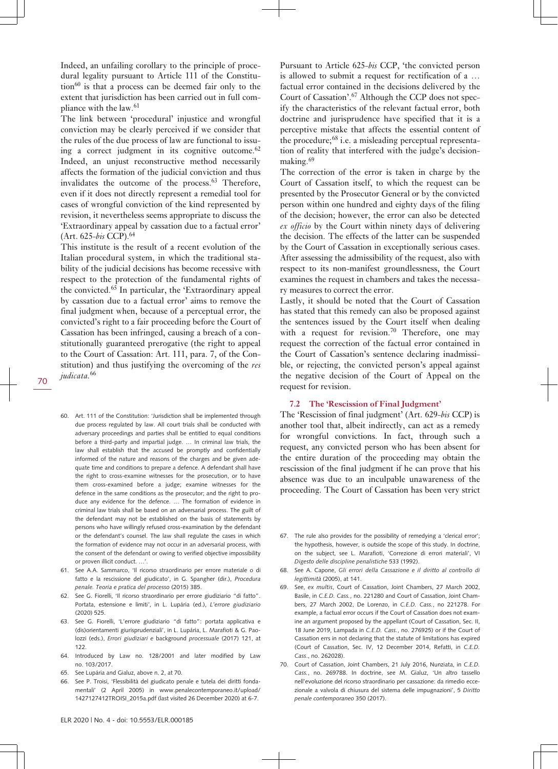Indeed, an unfailing corollary to the principle of procedural legality pursuant to Article 111 of the Constitu- $\tau$  tion<sup>60</sup> is that a process can be deemed fair only to the extent that jurisdiction has been carried out in full compliance with the law.<sup>61</sup>

The link between 'procedural' injustice and wrongful conviction may be clearly perceived if we consider that the rules of the due process of law are functional to issuing a correct judgment in its cognitive outcome. $62$ Indeed, an unjust reconstructive method necessarily affects the formation of the judicial conviction and thus invalidates the outcome of the process.<sup>63</sup> Therefore, even if it does not directly represent a remedial tool for cases of wrongful conviction of the kind represented by revision, it nevertheless seems appropriate to discuss the 'Extraordinary appeal by cassation due to a factual error' (Art. 625-*bis* CCP).<sup>64</sup>

This institute is the result of a recent evolution of the Italian procedural system, in which the traditional stability of the judicial decisions has become recessive with respect to the protection of the fundamental rights of the convicted.<sup>65</sup> In particular, the 'Extraordinary appeal by cassation due to a factual error' aims to remove the final judgment when, because of a perceptual error, the convicted's right to a fair proceeding before the Court of Cassation has been infringed, causing a breach of a constitutionally guaranteed prerogative (the right to appeal to the Court of Cassation: Art. 111, para. 7, of the Constitution) and thus justifying the overcoming of the *res judicata.*<sup>66</sup>

- 60. Art. 111 of the Constitution: 'Jurisdiction shall be implemented through due process regulated by law. All court trials shall be conducted with adversary proceedings and parties shall be entitled to equal conditions before a third-party and impartial judge. … In criminal law trials, the law shall establish that the accused be promptly and confidentially informed of the nature and reasons of the charges and be given adequate time and conditions to prepare a defence. A defendant shall have the right to cross-examine witnesses for the prosecution, or to have them cross-examined before a judge; examine witnesses for the defence in the same conditions as the prosecutor; and the right to produce any evidence for the defence. … The formation of evidence in criminal law trials shall be based on an adversarial process. The guilt of the defendant may not be established on the basis of statements by persons who have willingly refused cross-examination by the defendant or the defendant's counsel. The law shall regulate the cases in which the formation of evidence may not occur in an adversarial process, with the consent of the defendant or owing to verified objective impossibility or proven illicit conduct. …'.
- 61. See A.A. Sammarco, 'Il ricorso straordinario per errore materiale o di fatto e la rescissione del giudicato', in G. Spangher (dir.), *Procedura penale. Teoria e pratica del processo* (2015) 385.
- See G. Fiorelli, 'Il ricorso straordinario per errore giudiziario "di fatto". Portata, estensione e limiti*'*, in L. Lupária (ed.), *L'errore giudiziario* (2020) 525.
- 63. See G. Fiorelli, 'L'errore giudiziario "di fatto": portata applicativa e (dis)orientamenti giurisprudenziali', in L. Lupária, L. Marafioti & G. Paolozzi (eds.), *Errori giudiziari e* background *processuale* (2017) 121, at 122
- 64. Introduced by Law no. 128/2001 and later modified by Law no. 103/2017.
- 65. See Lupária and Gialuz, above n. 2, at 70.
- 66. See P. Troisi, 'Flessibilità del giudicato penale e tutela dei diritti fondamentali' (2 April 2005) in [www.penalecontemporaneo.it/upload/](http://www.penalecontemporaneo.it/upload/1427127412TROISI_2015a.pdf) [1427127412TROISI\\_2015a.pdf](http://www.penalecontemporaneo.it/upload/1427127412TROISI_2015a.pdf) (last visited 26 December 2020) at 6-7.

Pursuant to Article 625-*bis* CCP, 'the convicted person is allowed to submit a request for rectification of a … factual error contained in the decisions delivered by the Court of Cassation'.<sup>67</sup> Although the CCP does not specify the characteristics of the relevant factual error, both doctrine and jurisprudence have specified that it is a perceptive mistake that affects the essential content of the procedure;<sup>68</sup> i.e. a misleading perceptual representation of reality that interfered with the judge's decisionmaking.<sup>69</sup>

The correction of the error is taken in charge by the Court of Cassation itself, to which the request can be presented by the Prosecutor General or by the convicted person within one hundred and eighty days of the filing of the decision; however, the error can also be detected *ex officio* by the Court within ninety days of delivering the decision. The effects of the latter can be suspended by the Court of Cassation in exceptionally serious cases. After assessing the admissibility of the request, also with respect to its non-manifest groundlessness, the Court examines the request in chambers and takes the necessary measures to correct the error.

Lastly, it should be noted that the Court of Cassation has stated that this remedy can also be proposed against the sentences issued by the Court itself when dealing with a request for revision.<sup>70</sup> Therefore, one may request the correction of the factual error contained in the Court of Cassation's sentence declaring inadmissible, or rejecting, the convicted person's appeal against the negative decision of the Court of Appeal on the request for revision.

#### **7.2 The 'Rescission of Final Judgment'**

The 'Rescission of final judgment' (Art. 629-*bis* CCP) is another tool that, albeit indirectly, can act as a remedy for wrongful convictions. In fact, through such a request, any convicted person who has been absent for the entire duration of the proceeding may obtain the rescission of the final judgment if he can prove that his absence was due to an inculpable unawareness of the proceeding. The Court of Cassation has been very strict

- 67. The rule also provides for the possibility of remedying a 'clerical error'; the hypothesis, however, is outside the scope of this study. In doctrine, on the subject, see L. Marafioti, 'Correzione di errori materiali', VI *Digesto delle discipline penalistiche* 533 (1992).
- 68. See A. Capone, *Gli errori della Cassazione e il diritto al controllo di legittimità* (2005), at 141.
- 69. See, *ex multis*, Court of Cassation, Joint Chambers, 27 March 2002, Basile, in *C.E.D. Cass.*, no. 221280 and Court of Cassation, Joint Chambers, 27 March 2002, De Lorenzo, in *C.E.D. Cass.*, no 221278. For example, a factual error occurs if the Court of Cassation does not examine an argument proposed by the appellant (Court of Cassation, Sec. II, 18 June 2019, Lampada in *C.E.D. Cass.*, no. 276925) or if the Court of Cassation errs in not declaring that the statute of limitations has expired (Court of Cassation, Sec. IV, 12 December 2014, Refatti, in *C.E.D. Cass*., no. 262028).
- 70. Court of Cassation, Joint Chambers, 21 July 2016, Nunziata, in *C.E.D. Cass.*, no. 269788. In doctrine, see M. Gialuz, 'Un altro tassello nell'evoluzione del ricorso straordinario per cassazione: da rimedio eccezionale a valvola di chiusura del sistema delle impugnazioni', 5 *Diritto penale contemporaneo* 350 (2017).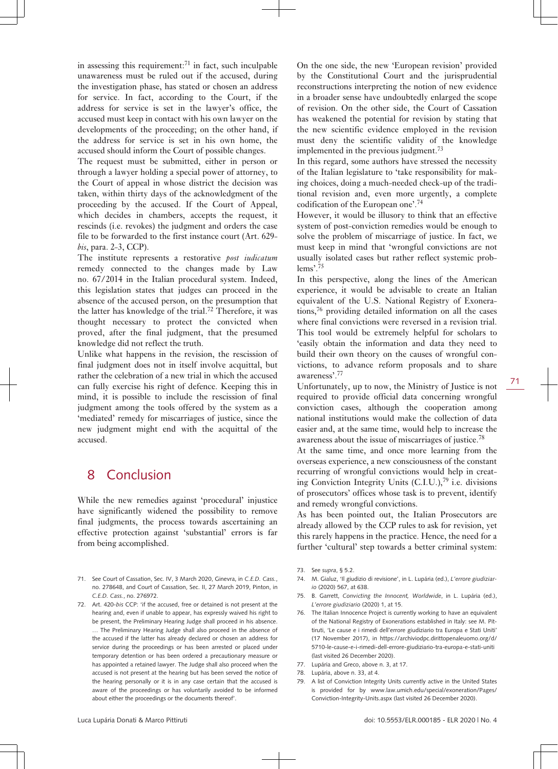in assessing this requirement: $71$  in fact, such inculpable unawareness must be ruled out if the accused, during the investigation phase, has stated or chosen an address for service. In fact, according to the Court, if the address for service is set in the lawyer's office, the accused must keep in contact with his own lawyer on the developments of the proceeding; on the other hand, if the address for service is set in his own home, the accused should inform the Court of possible changes.

The request must be submitted, either in person or through a lawyer holding a special power of attorney, to the Court of appeal in whose district the decision was taken, within thirty days of the acknowledgment of the proceeding by the accused. If the Court of Appeal, which decides in chambers, accepts the request, it rescinds (i.e. revokes) the judgment and orders the case file to be forwarded to the first instance court (Art. 629 *bis*, para. 2-3, CCP).

The institute represents a restorative *post iudicatum* remedy connected to the changes made by Law no. 67/2014 in the Italian procedural system. Indeed, this legislation states that judges can proceed in the absence of the accused person, on the presumption that the latter has knowledge of the trial.72 Therefore, it was thought necessary to protect the convicted when proved, after the final judgment, that the presumed knowledge did not reflect the truth.

Unlike what happens in the revision, the rescission of final judgment does not in itself involve acquittal, but rather the celebration of a new trial in which the accused can fully exercise his right of defence. Keeping this in mind, it is possible to include the rescission of final judgment among the tools offered by the system as a 'mediated' remedy for miscarriages of justice, since the new judgment might end with the acquittal of the accused.

### 8 Conclusion

While the new remedies against 'procedural' injustice have significantly widened the possibility to remove final judgments, the process towards ascertaining an effective protection against 'substantial' errors is far from being accomplished.

- 71. See Court of Cassation, Sec. IV, 3 March 2020, Ginevra, in *C.E.D. Cass.*, no. 278648, and Court of Cassation, Sec. II, 27 March 2019, Pinton, in *C.E.D. Cass.*, no. 276972.
- 72. Art. 420-*bis* CCP: 'if the accused, free or detained is not present at the hearing and, even if unable to appear, has expressly waived his right to be present, the Preliminary Hearing Judge shall proceed in his absence. … The Preliminary Hearing Judge shall also proceed in the absence of the accused if the latter has already declared or chosen an address for service during the proceedings or has been arrested or placed under temporary detention or has been ordered a precautionary measure or has appointed a retained lawyer. The Judge shall also proceed when the accused is not present at the hearing but has been served the notice of the hearing personally or it is in any case certain that the accused is aware of the proceedings or has voluntarily avoided to be informed about either the proceedings or the documents thereof'.

On the one side, the new 'European revision' provided by the Constitutional Court and the jurisprudential reconstructions interpreting the notion of new evidence in a broader sense have undoubtedly enlarged the scope of revision. On the other side, the Court of Cassation has weakened the potential for revision by stating that the new scientific evidence employed in the revision must deny the scientific validity of the knowledge implemented in the previous judgment.<sup>73</sup>

In this regard, some authors have stressed the necessity of the Italian legislature to 'take responsibility for making choices, doing a much-needed check-up of the traditional revision and, even more urgently, a complete codification of the European one'.<sup>74</sup>

However, it would be illusory to think that an effective system of post-conviction remedies would be enough to solve the problem of miscarriage of justice. In fact, we must keep in mind that 'wrongful convictions are not usually isolated cases but rather reflect systemic problems'.<sup>75</sup>

In this perspective, along the lines of the American experience, it would be advisable to create an Italian equivalent of the U.S. National Registry of Exonerations,76 providing detailed information on all the cases where final convictions were reversed in a revision trial. This tool would be extremely helpful for scholars to 'easily obtain the information and data they need to build their own theory on the causes of wrongful convictions, to advance reform proposals and to share awareness'.<sup>77</sup>

Unfortunately, up to now, the Ministry of Justice is not required to provide official data concerning wrongful conviction cases, although the cooperation among national institutions would make the collection of data easier and, at the same time, would help to increase the awareness about the issue of miscarriages of justice.<sup>78</sup>

At the same time, and once more learning from the overseas experience, a new consciousness of the constant recurring of wrongful convictions would help in creating Conviction Integrity Units  $(C.I.U.)$ , <sup>79</sup> i.e. divisions of prosecutors' offices whose task is to prevent, identify and remedy wrongful convictions.

As has been pointed out, the Italian Prosecutors are already allowed by the CCP rules to ask for revision, yet this rarely happens in the practice. Hence, the need for a further 'cultural' step towards a better criminal system:

- 73. See *supra*, § 5.2.
- 74. M. Gialuz, 'Il giudizio di revisione', in L. Lupária (ed.), *L'errore giudiziario* (2020) 567, at 638.
- 75. B. Garrett, *Convicting the Innocent, Worldwide*, in L. Lupária (ed.), *L'errore giudiziario* (2020) 1, at 15.
- 76. The Italian Innocence Project is currently working to have an equivalent of the National Registry of Exonerations established in Italy: see M. Pittiruti, 'Le cause e i rimedi dell'errore giudiziario tra Europa e Stati Uniti' (17 November 2017), in [https://archiviodpc.dirittopenaleuomo.org/d/](https://archiviodpc.dirittopenaleuomo.org/d/5710-le-cause-e-i-rimedi-dell-errore-giudiziario-tra-europa-e-stati-uniti) [5710-le-cause-e-i-rimedi-dell-errore-giudiziario-tra-europa-e-stati-uniti](https://archiviodpc.dirittopenaleuomo.org/d/5710-le-cause-e-i-rimedi-dell-errore-giudiziario-tra-europa-e-stati-uniti) (last visited 26 December 2020).
- 77. Lupária and Greco, above n. 3, at 17.
- 78. Lupária, above n. 33, at 4.
- 79. A list of Conviction Integrity Units currently active in the United States is provided for by [www.law.umich.edu/special/exoneration/Pages/](http://www.law.umich.edu/special/exoneration/Pages/Conviction-Integrity-Units.aspx) [Conviction-Integrity-Units.aspx](http://www.law.umich.edu/special/exoneration/Pages/Conviction-Integrity-Units.aspx) (last visited 26 December 2020).